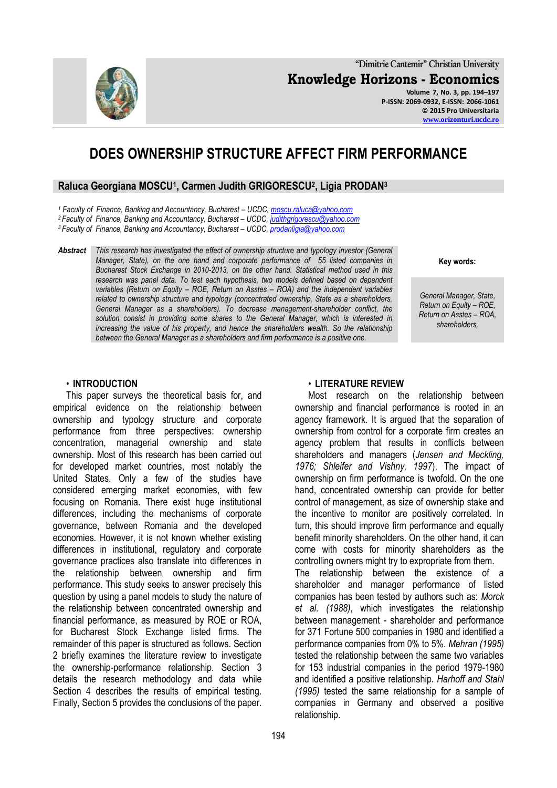

# **DOES OWNERSHIP STRUCTURE AFFECT FIRM PERFORMANCE**

### **Raluca Georgiana MOSCU<sup>1</sup> , Carmen Judith GRIGORESCU<sup>2</sup> , Ligia PRODAN<sup>3</sup>**

*<sup>1</sup> Faculty of Finance, Banking and Accountancy, Bucharest – UCDC[, moscu.raluca@yahoo.com](mailto:moscu.raluca@yahoo.com)*

*<sup>2</sup>Faculty of Finance, Banking and Accountancy, Bucharest – UCDC, [judithgrigorescu@yahoo.com](mailto:judithgrigorescu@yahoo.com)*

*<sup>3</sup>Faculty of Finance, Banking and Accountancy, Bucharest – UCDC, [prodanligia@yahoo.com](mailto:prodanligia@yahoo.com)*

*Abstract This research has investigated the effect of ownership structure and typology investor (General Manager, State), on the one hand and corporate performance of 55 listed companies in Bucharest Stock Exchange in 2010-2013, on the other hand. Statistical method used in this research was panel data. To test each hypothesis, two models defined based on dependent variables (Return on Equity – ROE, Return on Asstes – ROA) and the independent variables related to ownership structure and typology (concentrated ownership, State as a shareholders, General Manager as a shareholders). To decrease management-shareholder conflict, the solution consist in providing some shares to the General Manager, which is interested in increasing the value of his property, and hence the shareholders wealth. So the relationship between the General Manager as a shareholders and firm performance is a positive one.*

**Key words:**

**[www.orizonturi.ucdc.ro](http://www.orizonturi.ucdc.ro/)**

*General Manager, State, Return on Equity – ROE, Return on Asstes – ROA, shareholders,*

#### • **INTRODUCTION**

This paper surveys the theoretical basis for, and empirical evidence on the relationship between ownership and typology structure and corporate performance from three perspectives: ownership concentration, managerial ownership and state ownership. Most of this research has been carried out for developed market countries, most notably the United States. Only a few of the studies have considered emerging market economies, with few focusing on Romania. There exist huge institutional differences, including the mechanisms of corporate governance, between Romania and the developed economies. However, it is not known whether existing differences in institutional, regulatory and corporate governance practices also translate into differences in the relationship between ownership and firm performance. This study seeks to answer precisely this question by using a panel models to study the nature of the relationship between concentrated ownership and financial performance, as measured by ROE or ROA, for Bucharest Stock Exchange listed firms. The remainder of this paper is structured as follows. Section 2 briefly examines the literature review to investigate the ownership-performance relationship. Section 3 details the research methodology and data while Section 4 describes the results of empirical testing. Finally, Section 5 provides the conclusions of the paper.

#### • **LITERATURE REVIEW**

Most research on the relationship between ownership and financial performance is rooted in an agency framework. It is argued that the separation of ownership from control for a corporate firm creates an agency problem that results in conflicts between shareholders and managers (*Jensen and Meckling, 1976; Shleifer and Vishny, 1997*). The impact of ownership on firm performance is twofold. On the one hand, concentrated ownership can provide for better control of management, as size of ownership stake and the incentive to monitor are positively correlated. In turn, this should improve firm performance and equally benefit minority shareholders. On the other hand, it can come with costs for minority shareholders as the controlling owners might try to expropriate from them. The relationship between the existence of a shareholder and manager performance of listed companies has been tested by authors such as: *Morck et al. (1988)*, which investigates the relationship between management - shareholder and performance for 371 Fortune 500 companies in 1980 and identified a performance companies from 0% to 5%. *Mehran (1995)* tested the relationship between the same two variables for 153 industrial companies in the period 1979-1980 and identified a positive relationship. *Harhoff and Stahl (1995)* tested the same relationship for a sample of companies in Germany and observed a positive relationship.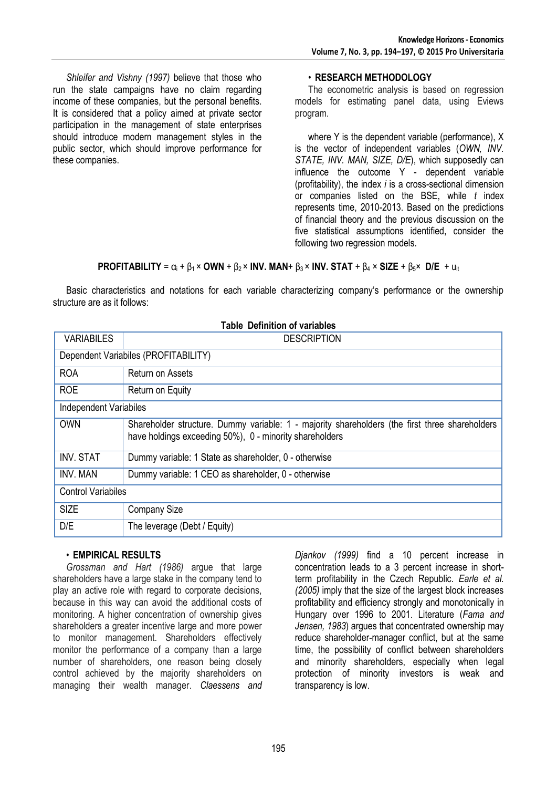*Shleifer and Vishny (1997)* believe that those who run the state campaigns have no claim regarding income of these companies, but the personal benefits. It is considered that a policy aimed at private sector participation in the management of state enterprises should introduce modern management styles in the public sector, which should improve performance for these companies.

### • **RESEARCH METHODOLOGY**

The econometric analysis is based on regression models for estimating panel data, using Eviews program.

where Y is the dependent variable (performance), X is the vector of independent variables (*OWN, INV. STATE, INV. MAN, SIZE, D/E*), which supposedly can influence the outcome Y - dependent variable (profitability), the index *i* is a cross-sectional dimension or companies listed on the BSE, while *t* index represents time, 2010-2013. Based on the predictions of financial theory and the previous discussion on the five statistical assumptions identified, consider the following two regression models.

## **PROFITABILITY** =  $\alpha_i$  +  $\beta_1$  × **OWN** +  $\beta_2$  × **INV. MAN**+  $\beta_3$  × **INV. STAT** +  $\beta_4$  × **SIZE** +  $\beta_5$ × **D/E** +  $u_{it}$

Basic characteristics and notations for each variable characterizing company's performance or the ownership structure are as it follows:

| <b>VARIABILES</b>                    | <b>Table Definition of variables</b>                                                                                                                      |  |  |
|--------------------------------------|-----------------------------------------------------------------------------------------------------------------------------------------------------------|--|--|
|                                      | <b>DESCRIPTION</b>                                                                                                                                        |  |  |
| Dependent Variabiles (PROFITABILITY) |                                                                                                                                                           |  |  |
| <b>ROA</b>                           | Return on Assets                                                                                                                                          |  |  |
| <b>ROE</b>                           | Return on Equity                                                                                                                                          |  |  |
| <b>Independent Variabiles</b>        |                                                                                                                                                           |  |  |
| <b>OWN</b>                           | Shareholder structure. Dummy variable: 1 - majority shareholders (the first three shareholders<br>have holdings exceeding 50%), 0 - minority shareholders |  |  |
| <b>INV. STAT</b>                     | Dummy variable: 1 State as shareholder, 0 - otherwise                                                                                                     |  |  |
| INV. MAN                             | Dummy variable: 1 CEO as shareholder, 0 - otherwise                                                                                                       |  |  |
| <b>Control Variabiles</b>            |                                                                                                                                                           |  |  |
| <b>SIZE</b>                          | <b>Company Size</b>                                                                                                                                       |  |  |
| D/E                                  | The leverage (Debt / Equity)                                                                                                                              |  |  |

# • **EMPIRICAL RESULTS**

*Grossman and Hart (1986)* argue that large shareholders have a large stake in the company tend to play an active role with regard to corporate decisions, because in this way can avoid the additional costs of monitoring. A higher concentration of ownership gives shareholders a greater incentive large and more power to monitor management. Shareholders effectively monitor the performance of a company than a large number of shareholders, one reason being closely control achieved by the majority shareholders on managing their wealth manager. *Claessens and* 

*Djankov (1999)* find a 10 percent increase in concentration leads to a 3 percent increase in shortterm profitability in the Czech Republic*. Earle et al. (2005)* imply that the size of the largest block increases profitability and efficiency strongly and monotonically in Hungary over 1996 to 2001. Literature (*Fama and Jensen, 1983*) argues that concentrated ownership may reduce shareholder-manager conflict, but at the same time, the possibility of conflict between shareholders and minority shareholders, especially when legal protection of minority investors is weak and transparency is low.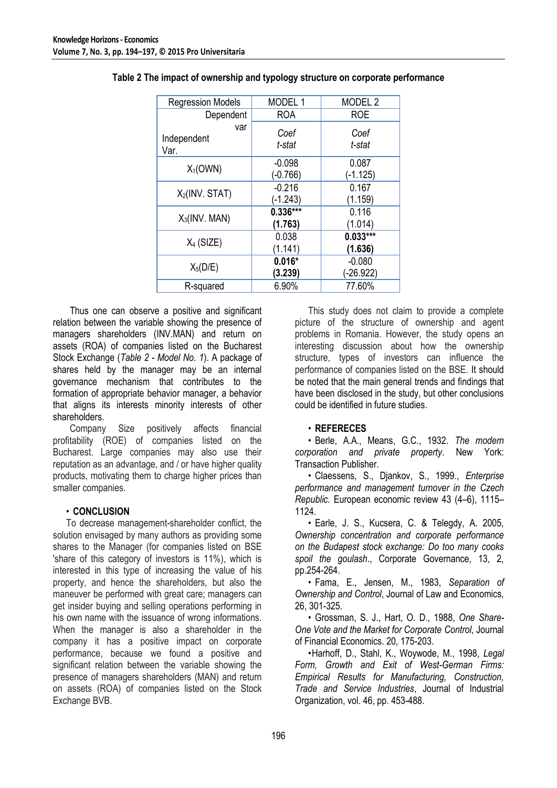| <b>Regression Models</b>   | MODEL 1                | MODEL <sub>2</sub>    |
|----------------------------|------------------------|-----------------------|
| Dependent                  | <b>ROA</b>             | <b>ROE</b>            |
| var<br>Independent<br>Var. | Coef<br>t-stat         | Coef<br>t-stat        |
| $X_1$ (OWN)                | $-0.098$<br>$(-0.766)$ | 0.087<br>$(-1.125)$   |
| $X_2$ (INV. STAT)          | $-0.216$<br>$(-1.243)$ | 0.167<br>(1.159)      |
| $X_3$ (INV. MAN)           | $0.336***$<br>(1.763)  | 0.116<br>(1.014)      |
| $X_4$ (SIZE)               | 0.038<br>(1.141)       | $0.033***$<br>(1.636) |
| $X_5(D/E)$                 | $0.016*$<br>(3.239)    | $-0.080$<br>(-26.922) |
| R-squared                  | 6.90%                  | 77.60%                |

| Table 2 The impact of ownership and typology structure on corporate performance |  |
|---------------------------------------------------------------------------------|--|
|---------------------------------------------------------------------------------|--|

Thus one can observe a positive and significant relation between the variable showing the presence of managers shareholders (INV.MAN) and return on assets (ROA) of companies listed on the Bucharest Stock Exchange (*Table 2 - Model No. 1*). A package of shares held by the manager may be an internal governance mechanism that contributes to the formation of appropriate behavior manager, a behavior that aligns its interests minority interests of other shareholders.

Company Size positively affects financial profitability (ROE) of companies listed on the Bucharest. Large companies may also use their reputation as an advantage, and / or have higher quality products, motivating them to charge higher prices than smaller companies.

# • **CONCLUSION**

To decrease management-shareholder conflict, the solution envisaged by many authors as providing some shares to the Manager (for companies listed on BSE 'share of this category of investors is 11%), which is interested in this type of increasing the value of his property, and hence the shareholders, but also the maneuver be performed with great care; managers can get insider buying and selling operations performing in his own name with the issuance of wrong informations. When the manager is also a shareholder in the company it has a positive impact on corporate performance, because we found a positive and significant relation between the variable showing the presence of managers shareholders (MAN) and return on assets (ROA) of companies listed on the Stock Exchange BVB.

This study does not claim to provide a complete picture of the structure of ownership and agent problems in Romania. However, the study opens an interesting discussion about how the ownership structure, types of investors can influence the performance of companies listed on the BSE. It should be noted that the main general trends and findings that have been disclosed in the study, but other conclusions could be identified in future studies.

# • **REFERECES**

• Berle, A.A., Means, G.C., 1932. *The modern corporation and private property*. New York: Transaction Publisher.

• Claessens, S., Djankov, S., 1999., *Enterprise performance and management turnover in the Czech Republic.* European economic review 43 (4–6), 1115– 1124.

• Earle, J. S., Kucsera, C. & Telegdy, A. 2005, *Ownership concentration and corporate performance on the Budapest stock exchange: Do too many cooks spoil the goulash*., Corporate Governance, 13, 2, pp.254-264.

• Fama, E., Jensen, M., 1983, *Separation of Ownership and Control*, Journal of Law and Economics, 26, 301-325.

• Grossman, S. J., Hart, O. D., 1988, *One Share-One Vote and the Market for Corporate Control*, Journal of Financial Economics. 20, 175-203.

•Harhoff, D., Stahl, K., Woywode, M., 1998, *Legal Form, Growth and Exit of West-German Firms: Empirical Results for Manufacturing, Construction, Trade and Service Industries*, Journal of Industrial Organization, vol. 46, pp. 453-488.